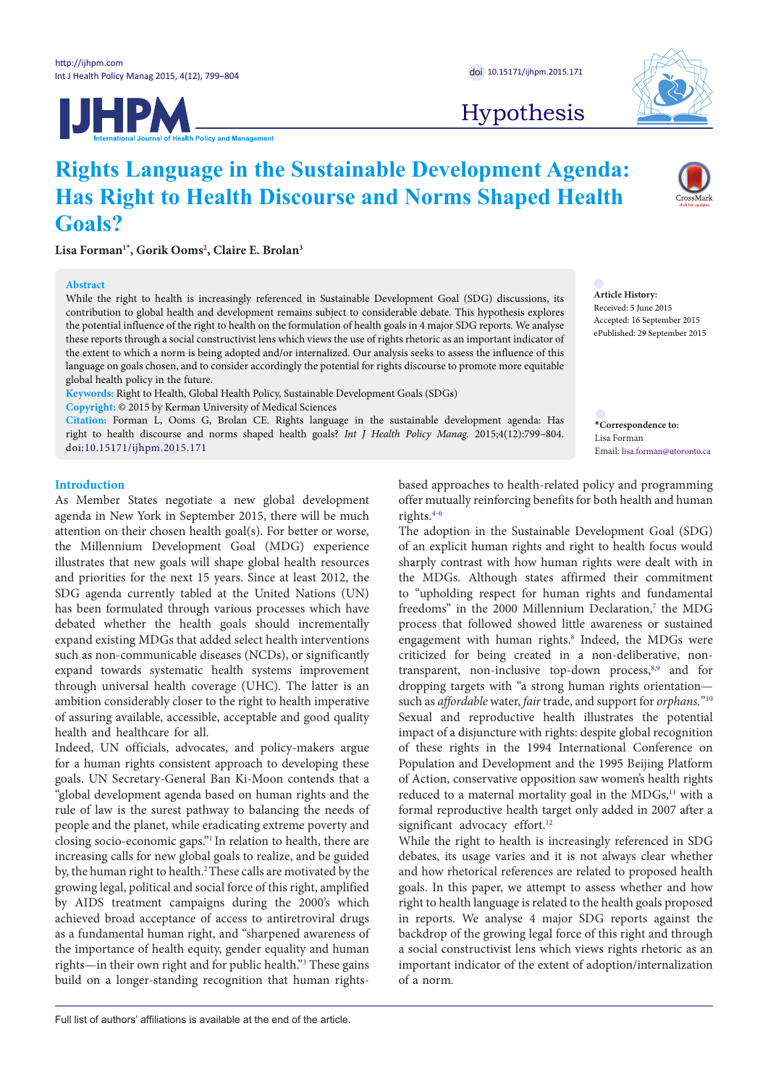

Hypothesis

# **Rights Language in the Sustainable Development Agenda: Has Right to Health Discourse and Norms Shaped Health Goals?**

**Lisa Forma[n1](#page-4-0)[\\*](#page-0-0) , Gorik Ooms[2](#page-4-1) , Claire E. Brola[n3](#page-4-2)**

## **Abstract**

While the right to health is increasingly referenced in Sustainable Development Goal (SDG) discussions, its contribution to global health and development remains subject to considerable debate. This hypothesis explores the potential influence of the right to health on the formulation of health goals in 4 major SDG reports. We analyse these reports through a social constructivist lens which views the use of rights rhetoric as an important indicator of the extent to which a norm is being adopted and/or internalized. Our analysis seeks to assess the influence of this language on goals chosen, and to consider accordingly the potential for rights discourse to promote more equitable global health policy in the future.

**Keywords:** Right to Health, Global Health Policy, Sustainable Development Goals (SDGs)

**Copyright:** © 2015 by Kerman University of Medical Sciences **Citation:** Forman L, Ooms G, Brolan CE. Rights language in the sustainable development agenda: Has

right to health discourse and norms shaped health goals? *Int J Health Policy Manag.* 2015;4(12):799–804. doi:[10.15171/ijhpm.2015.171](http://dx.doi.org/10.15171/ijhpm.2015.171)

**Introduction**

As Member States negotiate a new global development agenda in New York in September 2015, there will be much attention on their chosen health goal(s). For better or worse, the Millennium Development Goal (MDG) experience illustrates that new goals will shape global health resources and priorities for the next 15 years. Since at least 2012, the SDG agenda currently tabled at the United Nations (UN) has been formulated through various processes which have debated whether the health goals should incrementally expand existing MDGs that added select health interventions such as non-communicable diseases (NCDs), or significantly expand towards systematic health systems improvement through universal health coverage (UHC). The latter is an ambition considerably closer to the right to health imperative of assuring available, accessible, acceptable and good quality health and healthcare for all.

Indeed, UN officials, advocates, and policy-makers argue for a human rights consistent approach to developing these goals. UN Secretary-General Ban Ki-Moon contends that a "global development agenda based on human rights and the rule of law is the surest pathway to balancing the needs of people and the planet, while eradicating extreme poverty and closing socio-economic gaps.["1](#page-4-3) In relation to health, there are increasing calls for new global goals to realize, and be guided by, the human right to health.<sup>2</sup> These calls are motivated by the growing legal, political and social force of this right, amplified by AIDS treatment campaigns during the 2000's which achieved broad acceptance of access to antiretroviral drugs as a fundamental human right, and "sharpened awareness of the importance of health equity, gender equality and human rights—in their own right and for public health."[3](#page-4-5) These gains build on a longer-standing recognition that human rights-

based approaches to health-related policy and programming offer mutually reinforcing benefits for both health and human rights.[4-](#page-4-6)[6](#page-4-7) 

The adoption in the Sustainable Development Goal (SDG) of an explicit human rights and right to health focus would sharply contrast with how human rights were dealt with in the MDGs. Although states affirmed their commitment to "upholding respect for human rights and fundamental freedoms" in the 2000 Millennium Declaration,<sup>7</sup> the MDG process that followed showed little awareness or sustained engagement with human rights.<sup>[8](#page-4-9)</sup> Indeed, the MDGs were criticized for being created in a non-deliberative, non-transparent, non-inclusive top-down process,<sup>[8,](#page-4-9)[9](#page-4-10)</sup> and for dropping targets with "a strong human rights orientation such as *affordable* water, *fair* trade, and support for *orphans.*["10](#page-4-11) Sexual and reproductive health illustrates the potential impact of a disjuncture with rights: despite global recognition of these rights in the 1994 International Conference on Population and Development and the 1995 Beijing Platform of Action, conservative opposition saw women's health rights reduced to a maternal mortality goal in the MDGs,<sup>[11](#page-4-12)</sup> with a formal reproductive health target only added in 2007 after a significant advocacy effort.<sup>12</sup>

While the right to health is increasingly referenced in SDG debates, its usage varies and it is not always clear whether and how rhetorical references are related to proposed health goals. In this paper, we attempt to assess whether and how right to health language is related to the health goals proposed in reports. We analyse 4 major SDG reports against the backdrop of the growing legal force of this right and through a social constructivist lens which views rights rhetoric as an important indicator of the extent of adoption/internalization of a norm*.* 

**Article History:** Received: 5 June 2015 Accepted: 16 September 2015

ePublished: 29 September 2015

<span id="page-0-0"></span>**\*Correspondence to:** Lisa Forman

Email: lisa.forman@utoronto.ca

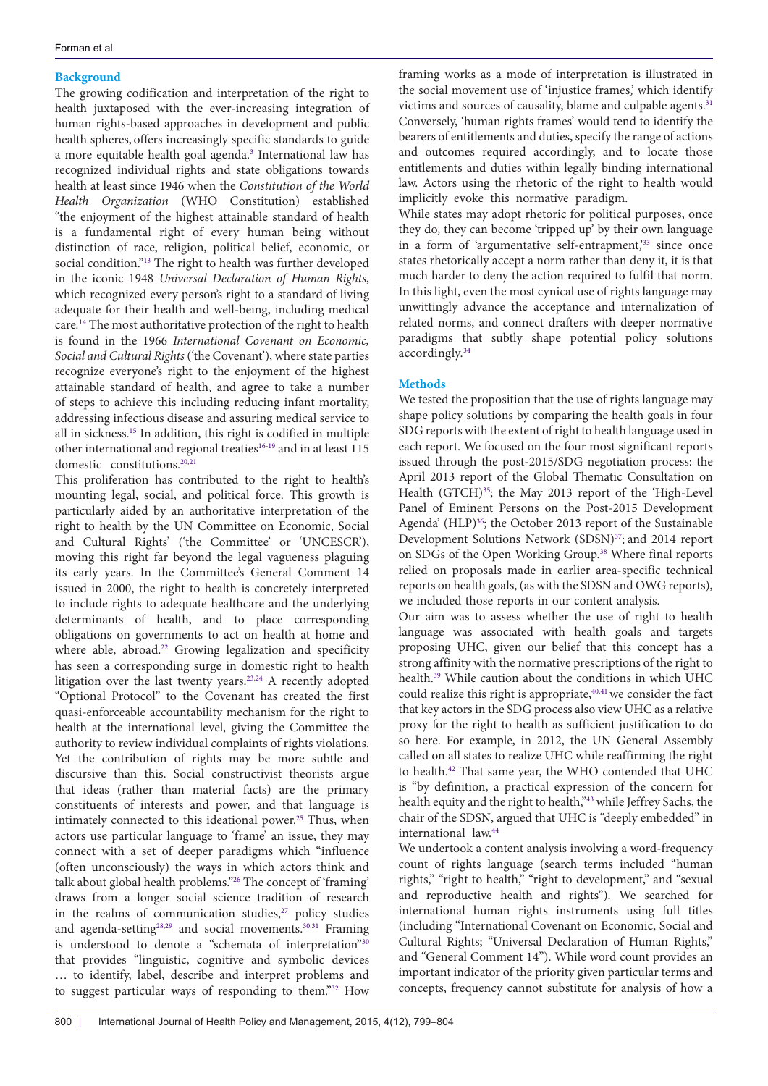# **Background**

The growing codification and interpretation of the right to health juxtaposed with the ever-increasing integration of human rights-based approaches in development and public health spheres, offers increasingly specific standards to guide a more equitable health goal agenda.<sup>[3](#page-4-5)</sup> International law has recognized individual rights and state obligations towards health at least since 1946 when the *Constitution of the World Health Organization* (WHO Constitution) established "the enjoyment of the highest attainable standard of health is a fundamental right of every human being without distinction of race, religion, political belief, economic, or social condition.["13](#page-4-14) The right to health was further developed in the iconic 1948 *Universal Declaration of Human Rights*, which recognized every person's right to a standard of living adequate for their health and well-being, including medical care*.* [14](#page-4-15) The most authoritative protection of the right to health is found in the 1966 *International Covenant on Economic, Social and Cultural Rights* ('the Covenant'), where state parties recognize everyone's right to the enjoyment of the highest attainable standard of health, and agree to take a number of steps to achieve this including reducing infant mortality, addressing infectious disease and assuring medical service to all in sickness[.15](#page-4-16) In addition, this right is codified in multiple other international and regional treaties<sup>16-19</sup> and in at least  $115\,$ domestic constitutions.<sup>[20](#page-5-0),[21](#page-5-1)</sup>

This proliferation has contributed to the right to health's mounting legal, social, and political force. This growth is particularly aided by an authoritative interpretation of the right to health by the UN Committee on Economic, Social and Cultural Rights' ('the Committee' or 'UNCESCR'), moving this right far beyond the legal vagueness plaguing its early years. In the Committee's General Comment 14 issued in 2000, the right to health is concretely interpreted to include rights to adequate healthcare and the underlying determinants of health, and to place corresponding obligations on governments to act on health at home and where able, abroad.<sup>[22](#page-5-2)</sup> Growing legalization and specificity has seen a corresponding surge in domestic right to health litigation over the last twenty years.<sup>23,24</sup> A recently adopted "Optional Protocol" to the Covenant has created the first quasi-enforceable accountability mechanism for the right to health at the international level, giving the Committee the authority to review individual complaints of rights violations. Yet the contribution of rights may be more subtle and discursive than this. Social constructivist theorists argue that ideas (rather than material facts) are the primary constituents of interests and power, and that language is intimately connected to this ideational power.<sup>[25](#page-5-5)</sup> Thus, when actors use particular language to 'frame' an issue, they may connect with a set of deeper paradigms which "influence (often unconsciously) the ways in which actors think and talk about global health problems."[26](#page-5-6) The concept of 'framing' draws from a longer social science tradition of research in the realms of communication studies,<sup>[27](#page-5-7)</sup> policy studies and agenda-setting<sup>28,29</sup> and social movements.<sup>[30](#page-5-10),[31](#page-5-11)</sup> Framing is understood to denote a "schemata of interpretation"[30](#page-5-10) that provides "linguistic, cognitive and symbolic devices … to identify, label, describe and interpret problems and to suggest particular ways of responding to them.["32](#page-5-12) How

framing works as a mode of interpretation is illustrated in the social movement use of 'injustice frames,' which identify victims and sources of causality, blame and culpable agents.<sup>31</sup> Conversely, 'human rights frames' would tend to identify the bearers of entitlements and duties, specify the range of actions and outcomes required accordingly, and to locate those entitlements and duties within legally binding international law. Actors using the rhetoric of the right to health would implicitly evoke this normative paradigm.

While states may adopt rhetoric for political purposes, once they do, they can become 'tripped up' by their own language in a form of 'argumentative self-entrapment,'[33](#page-5-13) since once states rhetorically accept a norm rather than deny it, it is that much harder to deny the action required to fulfil that norm. In this light, even the most cynical use of rights language may unwittingly advance the acceptance and internalization of related norms, and connect drafters with deeper normative paradigms that subtly shape potential policy solutions accordingly[.34](#page-5-14)

# **Methods**

We tested the proposition that the use of rights language may shape policy solutions by comparing the health goals in four SDG reports with the extent of right to health language used in each report. We focused on the four most significant reports issued through the post-2015/SDG negotiation process: the April 2013 report of the Global Thematic Consultation on Health (GTCH)<sup>[35](#page-5-15)</sup>; the May 2013 report of the 'High-Level Panel of Eminent Persons on the Post-2015 Development Agenda' (HLP)<sup>[36](#page-5-16)</sup>; the October 2013 report of the Sustainable Development Solutions Network (SDSN)<sup>[37](#page-5-17)</sup>; and 2014 report on SDGs of the Open Working Group.<sup>38</sup> Where final reports relied on proposals made in earlier area-specific technical reports on health goals, (as with the SDSN and OWG reports), we included those reports in our content analysis.

Our aim was to assess whether the use of right to health language was associated with health goals and targets proposing UHC, given our belief that this concept has a strong affinity with the normative prescriptions of the right to health[.39](#page-5-19) While caution about the conditions in which UHC could realize this right is appropriate,<sup>[40](#page-5-20),[41](#page-5-21)</sup> we consider the fact that key actors in the SDG process also view UHC as a relative proxy for the right to health as sufficient justification to do so here. For example, in 2012, the UN General Assembly called on all states to realize UHC while reaffirming the right to health.<sup>42</sup> That same year, the WHO contended that UHC is "by definition, a practical expression of the concern for health equity and the right to health,"[43](#page-5-23) while Jeffrey Sachs, the chair of the SDSN, argued that UHC is "deeply embedded" in international law[.44](#page-5-24)

We undertook a content analysis involving a word-frequency count of rights language (search terms included "human rights," "right to health," "right to development," and "sexual and reproductive health and rights"). We searched for international human rights instruments using full titles (including "International Covenant on Economic, Social and Cultural Rights; "Universal Declaration of Human Rights," and "General Comment 14"). While word count provides an important indicator of the priority given particular terms and concepts, frequency cannot substitute for analysis of how a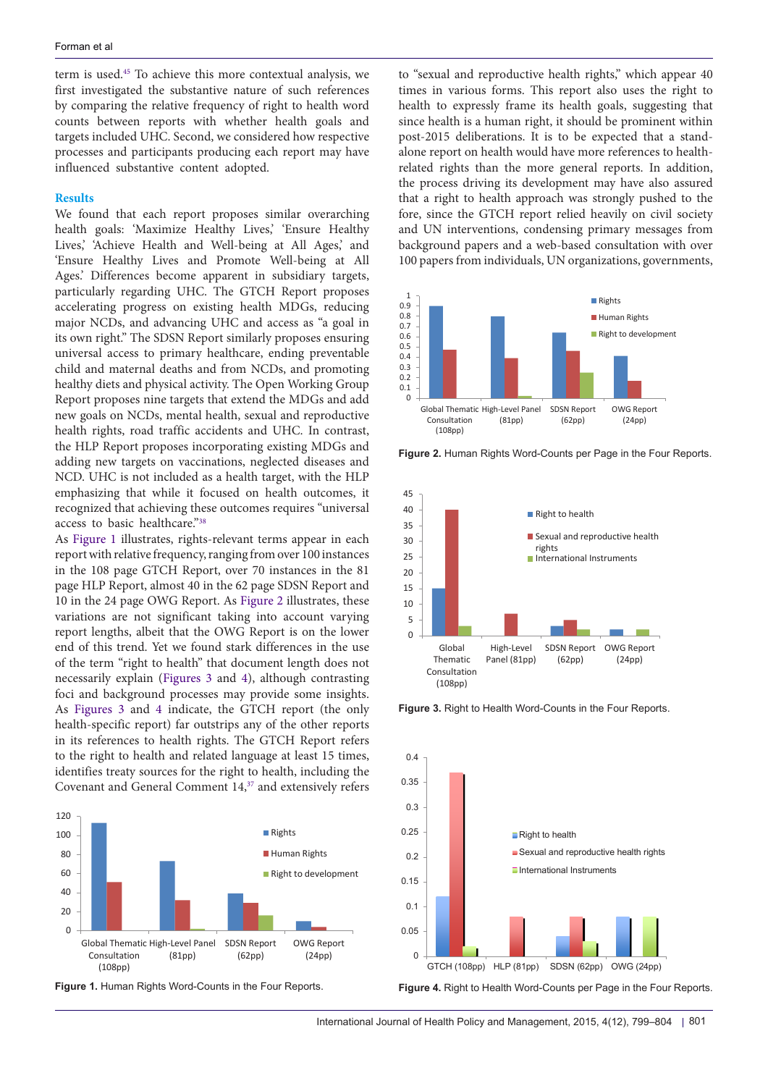term is used.[45](#page-5-25) To achieve this more contextual analysis, we first investigated the substantive nature of such references by comparing the relative frequency of right to health word counts between reports with whether health goals and targets included UHC. Second, we considered how respective processes and participants producing each report may have influenced substantive content adopted.

## **Results**

We found that each report proposes similar overarching health goals: 'Maximize Healthy Lives,' 'Ensure Healthy Lives,' 'Achieve Health and Well-being at All Ages,' and 'Ensure Healthy Lives and Promote Well-being at All Ages.' Differences become apparent in subsidiary targets, particularly regarding UHC. The GTCH Report proposes accelerating progress on existing health MDGs, reducing major NCDs, and advancing UHC and access as "a goal in its own right." The SDSN Report similarly proposes ensuring universal access to primary healthcare, ending preventable child and maternal deaths and from NCDs, and promoting healthy diets and physical activity. The Open Working Group Report proposes nine targets that extend the MDGs and add new goals on NCDs, mental health, sexual and reproductive health rights, road traffic accidents and UHC. In contrast, the HLP Report proposes incorporating existing MDGs and adding new targets on vaccinations, neglected diseases and NCD. UHC is not included as a health target, with the HLP emphasizing that while it focused on health outcomes, it recognized that achieving these outcomes requires "universal access to basic healthcare.["38](#page-5-18)

As [Figure 1](#page-2-0) illustrates, rights-relevant terms appear in each report with relative frequency, ranging from over 100 instances in the 108 page GTCH Report, over 70 instances in the 81 page HLP Report, almost 40 in the 62 page SDSN Report and 10 in the 24 page OWG Report. As [Figure 2](#page-2-1) illustrates, these variations are not significant taking into account varying report lengths, albeit that the OWG Report is on the lower end of this trend. Yet we found stark differences in the use of the term "right to health" that document length does not necessarily explain [\(Figures 3](#page-2-2) and [4](#page-2-3)), although contrasting foci and background processes may provide some insights. As [Figures 3](#page-2-2) and [4](#page-2-3) indicate, the GTCH report (the only health-specific report) far outstrips any of the other reports in its references to health rights. The GTCH Report refers to the right to health and related language at least 15 times, identifies treaty sources for the right to health, including the Covenant and General Comment 14,[37](#page-5-17) and extensively refers

<span id="page-2-0"></span>

**Figure 1.** Human Rights Word-Counts in the Four Reports.

to "sexual and reproductive health rights," which appear 40 times in various forms. This report also uses the right to health to expressly frame its health goals, suggesting that since health is a human right, it should be prominent within post-2015 deliberations. It is to be expected that a standalone report on health would have more references to healthrelated rights than the more general reports. In addition, the process driving its development may have also assured that a right to health approach was strongly pushed to the fore, since the GTCH report relied heavily on civil society and UN interventions, condensing primary messages from background papers and a web-based consultation with over 100 papers from individuals, UN organizations, governments,

<span id="page-2-1"></span>

<span id="page-2-2"></span>**Figure 2.** Human Rights Word-Counts per Page in the Four Reports.



**Figure 3.** Right to Health Word-Counts in the Four Reports.

<span id="page-2-3"></span>

**Figure 4.** Right to Health Word-Counts per Page in the Four Reports.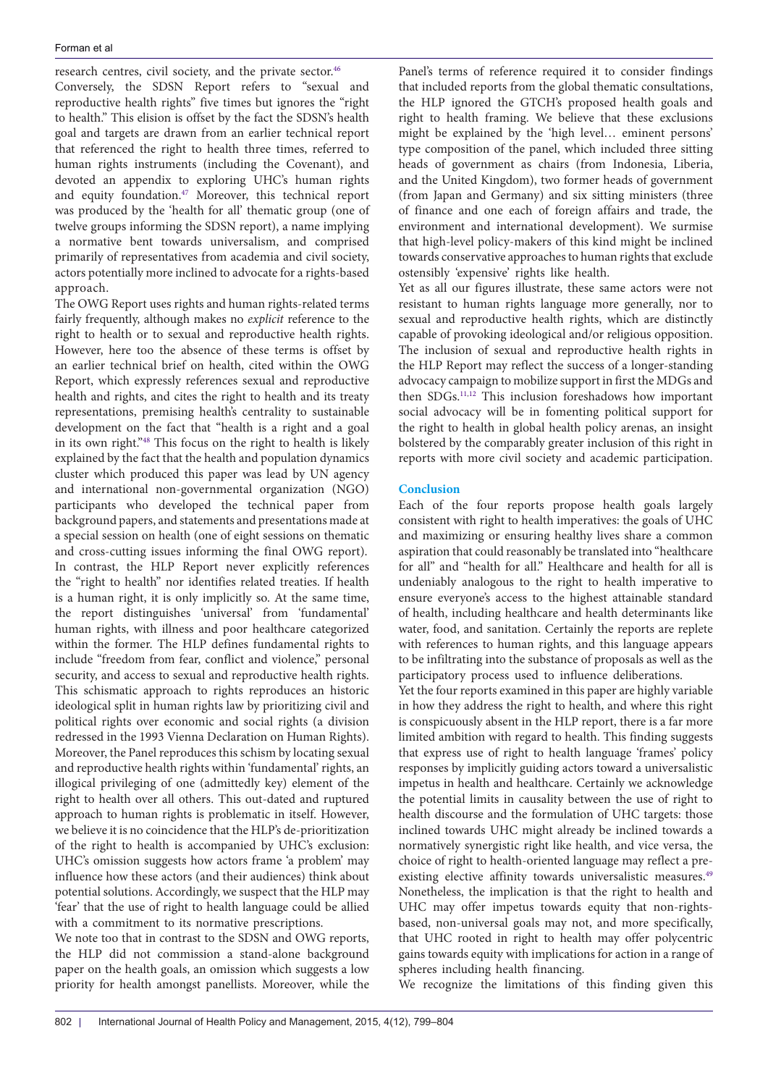research centres, civil society, and the private sector.<sup>[46](#page-5-26)</sup> Conversely, the SDSN Report refers to "sexual and reproductive health rights" five times but ignores the "right to health." This elision is offset by the fact the SDSN's health goal and targets are drawn from an earlier technical report that referenced the right to health three times, referred to human rights instruments (including the Covenant), and devoted an appendix to exploring UHC's human rights and equity foundation.[47](#page-5-27) Moreover, this technical report was produced by the 'health for all' thematic group (one of twelve groups informing the SDSN report), a name implying a normative bent towards universalism, and comprised primarily of representatives from academia and civil society, actors potentially more inclined to advocate for a rights-based approach.

The OWG Report uses rights and human rights-related terms fairly frequently, although makes no *explicit* reference to the right to health or to sexual and reproductive health rights. However, here too the absence of these terms is offset by an earlier technical brief on health, cited within the OWG Report, which expressly references sexual and reproductive health and rights, and cites the right to health and its treaty representations, premising health's centrality to sustainable development on the fact that "health is a right and a goal in its own right."[48](#page-5-28) This focus on the right to health is likely explained by the fact that the health and population dynamics cluster which produced this paper was lead by UN agency and international non-governmental organization (NGO) participants who developed the technical paper from background papers, and statements and presentations made at a special session on health (one of eight sessions on thematic and cross-cutting issues informing the final OWG report). In contrast, the HLP Report never explicitly references the "right to health" nor identifies related treaties. If health is a human right, it is only implicitly so. At the same time, the report distinguishes 'universal' from 'fundamental' human rights, with illness and poor healthcare categorized within the former. The HLP defines fundamental rights to include "freedom from fear, conflict and violence," personal security, and access to sexual and reproductive health rights. This schismatic approach to rights reproduces an historic ideological split in human rights law by prioritizing civil and political rights over economic and social rights (a division redressed in the 1993 Vienna Declaration on Human Rights). Moreover, the Panel reproduces this schism by locating sexual and reproductive health rights within 'fundamental' rights, an illogical privileging of one (admittedly key) element of the right to health over all others. This out-dated and ruptured approach to human rights is problematic in itself. However, we believe it is no coincidence that the HLP's de-prioritization of the right to health is accompanied by UHC's exclusion: UHC's omission suggests how actors frame 'a problem' may influence how these actors (and their audiences) think about potential solutions. Accordingly, we suspect that the HLP may 'fear' that the use of right to health language could be allied with a commitment to its normative prescriptions.

We note too that in contrast to the SDSN and OWG reports, the HLP did not commission a stand-alone background paper on the health goals, an omission which suggests a low priority for health amongst panellists. Moreover, while the

Panel's terms of reference required it to consider findings that included reports from the global thematic consultations, the HLP ignored the GTCH's proposed health goals and right to health framing. We believe that these exclusions might be explained by the 'high level… eminent persons' type composition of the panel, which included three sitting heads of government as chairs (from Indonesia, Liberia, and the United Kingdom), two former heads of government (from Japan and Germany) and six sitting ministers (three of finance and one each of foreign affairs and trade, the environment and international development). We surmise that high-level policy-makers of this kind might be inclined towards conservative approaches to human rights that exclude ostensibly 'expensive' rights like health.

Yet as all our figures illustrate, these same actors were not resistant to human rights language more generally, nor to sexual and reproductive health rights, which are distinctly capable of provoking ideological and/or religious opposition. The inclusion of sexual and reproductive health rights in the HLP Report may reflect the success of a longer-standing advocacy campaign to mobilize support in first the MDGs and then SDGs.[11](#page-4-12),[12](#page-4-13) This inclusion foreshadows how important social advocacy will be in fomenting political support for the right to health in global health policy arenas, an insight bolstered by the comparably greater inclusion of this right in reports with more civil society and academic participation.

# **Conclusion**

Each of the four reports propose health goals largely consistent with right to health imperatives: the goals of UHC and maximizing or ensuring healthy lives share a common aspiration that could reasonably be translated into "healthcare for all" and "health for all." Healthcare and health for all is undeniably analogous to the right to health imperative to ensure everyone's access to the highest attainable standard of health, including healthcare and health determinants like water, food, and sanitation. Certainly the reports are replete with references to human rights, and this language appears to be infiltrating into the substance of proposals as well as the participatory process used to influence deliberations.

Yet the four reports examined in this paper are highly variable in how they address the right to health, and where this right is conspicuously absent in the HLP report, there is a far more limited ambition with regard to health. This finding suggests that express use of right to health language 'frames' policy responses by implicitly guiding actors toward a universalistic impetus in health and healthcare. Certainly we acknowledge the potential limits in causality between the use of right to health discourse and the formulation of UHC targets: those inclined towards UHC might already be inclined towards a normatively synergistic right like health, and vice versa, the choice of right to health-oriented language may reflect a preexisting elective affinity towards universalistic measures.<sup>49</sup> Nonetheless, the implication is that the right to health and UHC may offer impetus towards equity that non-rightsbased, non-universal goals may not, and more specifically, that UHC rooted in right to health may offer polycentric gains towards equity with implications for action in a range of spheres including health financing.

We recognize the limitations of this finding given this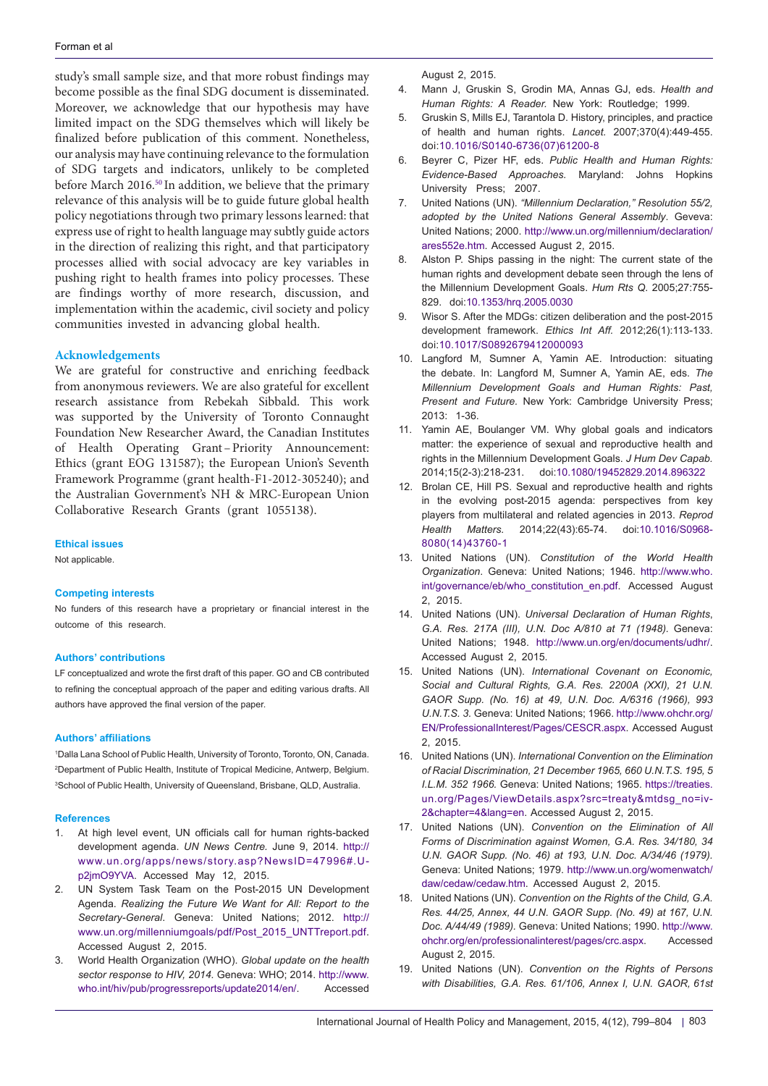study's small sample size, and that more robust findings may become possible as the final SDG document is disseminated. Moreover, we acknowledge that our hypothesis may have limited impact on the SDG themselves which will likely be finalized before publication of this comment. Nonetheless, our analysis may have continuing relevance to the formulation of SDG targets and indicators, unlikely to be completed before March 2016[.50](#page-5-30) In addition, we believe that the primary relevance of this analysis will be to guide future global health policy negotiations through two primary lessons learned: that express use of right to health language may subtly guide actors in the direction of realizing this right, and that participatory processes allied with social advocacy are key variables in pushing right to health frames into policy processes. These are findings worthy of more research, discussion, and implementation within the academic, civil society and policy communities invested in advancing global health.

## **Acknowledgements**

We are grateful for constructive and enriching feedback from anonymous reviewers. We are also grateful for excellent research assistance from Rebekah Sibbald. This work was supported by the University of Toronto Connaught Foundation New Researcher Award, the Canadian Institutes of Health Operating Grant–Priority Announcement: Ethics (grant EOG 131587); the European Union's Seventh Framework Programme (grant health-F1-2012-305240); and the Australian Government's NH & MRC-European Union Collaborative Research Grants (grant 1055138).

#### **Ethical issues**

Not applicable.

### **Competing interests**

No funders of this research have a proprietary or financial interest in the outcome of this research.

#### **Authors' contributions**

LF conceptualized and wrote the first draft of this paper. GO and CB contributed to refining the conceptual approach of the paper and editing various drafts. All authors have approved the final version of the paper.

## **Authors' affiliations**

<span id="page-4-2"></span><span id="page-4-1"></span><span id="page-4-0"></span>1 Dalla Lana School of Public Health, University of Toronto, Toronto, ON, Canada. 2 Department of Public Health, Institute of Tropical Medicine, Antwerp, Belgium. 3 School of Public Health, University of Queensland, Brisbane, QLD, Australia.

### **References**

- <span id="page-4-3"></span>1. At high level event, UN officials call for human rights-backed development agenda. *UN News Centre.* June 9, 2014. [http](http://www.un.org/apps/news/story.asp?NewsID=47996#.U-p2jmO9YVA):// [www.un.org/apps/news/story.asp?NewsID=47996#.U](http://www.un.org/apps/news/story.asp?NewsID=47996#.U-p2jmO9YVA)[p2jmO9YVA.](http://www.un.org/apps/news/story.asp?NewsID=47996#.U-p2jmO9YVA) Accessed May 12, 2015.
- <span id="page-4-4"></span>2. UN System Task Team on the Post-2015 UN Development Agenda. *Realizing the Future We Want for All: Report to the Secretary-General*. Geneva: United Nations; 2012. [http://](http://www.un.org/millenniumgoals/pdf/Post_2015_UNTTreport.pdf) [www.un.org/millenniumgoals/pdf/Post\\_2015\\_UNTTreport.pdf](http://www.un.org/millenniumgoals/pdf/Post_2015_UNTTreport.pdf). Accessed August 2, 2015.
- <span id="page-4-5"></span>3. World Health Organization (WHO). *Global update on the health sector response to HIV, 2014.* Geneva: WHO; 2014. [http://www.](http://www.who.int/hiv/pub/progressreports/update2014/en/) [who.int/hiv/pub/progressreports/update2014/en/.](http://www.who.int/hiv/pub/progressreports/update2014/en/) Accessed

<span id="page-4-6"></span>August 2, 2015.

- 4. Mann J, Gruskin S, Grodin MA, Annas GJ, eds. *Health and Human Rights: A Reader.* New York: Routledge; 1999.
- 5. Gruskin S, Mills EJ, Tarantola D. History, principles, and practice of health and human rights. *Lancet.* 2007;370(4):449-455. doi:[10.1016/S0140-6736\(07\)61200-8](http://dx.doi.org/10.1016/S0140-6736(07)61200-8)
- <span id="page-4-7"></span>6. Beyrer C, Pizer HF, eds. *Public Health and Human Rights: Evidence-Based Approaches.* Maryland: Johns Hopkins University Press; 2007.
- <span id="page-4-8"></span>7. United Nations (UN). *"Millennium Declaration," Resolution 55/2, adopted by the United Nations General Assembly*. Geveva: United Nations; 2000. [http://www.un.org/millennium/declaration/](http://www.un.org/millennium/declaration/ares552e.htm) [ares552e.htm.](http://www.un.org/millennium/declaration/ares552e.htm) Accessed August 2, 2015.
- <span id="page-4-9"></span>8. Alston P. Ships passing in the night: The current state of the human rights and development debate seen through the lens of the Millennium Development Goals. *Hum Rts Q*. 2005;27:755- 829. doi[:10.1353/hrq.2005.0030](http://dx.doi.org/10.1353/hrq.2005.0030)
- <span id="page-4-10"></span>9. Wisor S. After the MDGs: citizen deliberation and the post-2015 development framework. *Ethics Int Aff.* 2012;26(1):113-133. doi:[10.1017/S0892679412000093](http://dx.doi.org/10.1017/S0892679412000093)
- <span id="page-4-11"></span>10. Langford M, Sumner A, Yamin AE. Introduction: situating the debate. In: Langford M, Sumner A, Yamin AE, eds. *The Millennium Development Goals and Human Rights: Past, Present and Future.* New York: Cambridge University Press; 2013: 1-36.
- <span id="page-4-12"></span>11. Yamin AE, Boulanger VM. Why global goals and indicators matter: the experience of sexual and reproductive health and rights in the Millennium Development Goals. *J Hum Dev Capab.*  2014;15(2-3):218-231. doi[:10.1080/19452829.2014.896322](http://dx.doi.org/10.1080/19452829.2014.896322)
- <span id="page-4-13"></span>12. Brolan CE, Hill PS. Sexual and reproductive health and rights in the evolving post-2015 agenda: perspectives from key players from multilateral and related agencies in 2013. *Reprod Health Matters.* 2014;22(43):65-74. doi:[10.1016/S0968-](http://dx.doi.org/10.1016/S0968-8080(14)43760-1) [8080\(14\)43760-1](http://dx.doi.org/10.1016/S0968-8080(14)43760-1)
- <span id="page-4-14"></span>13. United Nations (UN). *Constitution of the World Health Organization*. Geneva: United Nations; 1946. [http://www.who.](http://www.who.int/governance/eb/who_constitution_en.pdf) [int/governance/eb/who\\_constitution\\_en.pdf](http://www.who.int/governance/eb/who_constitution_en.pdf). Accessed August 2, 2015.
- <span id="page-4-15"></span>14. United Nations (UN). *Universal Declaration of Human Rights*, *G.A. Res. 217A (III), U.N. Doc A/810 at 71 (1948).* Geneva: United Nations; 1948. [http://www.un.org/en/documents/udhr/.](http://www.un.org/en/documents/udhr/) Accessed August 2, 2015.
- <span id="page-4-16"></span>15. United Nations (UN). *International Covenant on Economic, Social and Cultural Rights, G.A. Res. 2200A (XXI), 21 U.N. GAOR Supp. (No. 16) at 49, U.N. Doc. A/6316 (1966), 993 U.N.T.S. 3.* Geneva: United Nations; 1966. [http://www.ohchr.org/](http://www.ohchr.org/EN/ProfessionalInterest/Pages/CESCR.aspx) [EN/ProfessionalInterest/Pages/CESCR.aspx](http://www.ohchr.org/EN/ProfessionalInterest/Pages/CESCR.aspx). Accessed August 2, 2015.
- <span id="page-4-17"></span>16. United Nations (UN). *International Convention on the Elimination of Racial Discrimination, 21 December 1965, 660 U.N.T.S. 195, 5 I.L.M. 352 1966.* Geneva: United Nations; 1965. [https://treaties.](https://treaties.un.org/Pages/ViewDetails.aspx?src=treaty&mtdsg_no=iv-2&chapter=4&lang=en) [un.org/Pages/ViewDetails.aspx?src=treaty&mtdsg\\_no=iv-](https://treaties.un.org/Pages/ViewDetails.aspx?src=treaty&mtdsg_no=iv-2&chapter=4&lang=en)[2&chapter=4&lang=en.](https://treaties.un.org/Pages/ViewDetails.aspx?src=treaty&mtdsg_no=iv-2&chapter=4&lang=en) Accessed August 2, 2015.
- 17. United Nations (UN). *Convention on the Elimination of All Forms of Discrimination against Women, G.A. Res. 34/180, 34 U.N. GAOR Supp. (No. 46) at 193, U.N. Doc. A/34/46 (1979).*  Geneva: United Nations; 1979. [http://www.un.org/womenwatch/](http://www.un.org/womenwatch/daw/cedaw/cedaw.htm) [daw/cedaw/cedaw.htm](http://www.un.org/womenwatch/daw/cedaw/cedaw.htm). Accessed August 2, 2015.
- 18. United Nations (UN). *Convention on the Rights of the Child, G.A. Res. 44/25, Annex, 44 U.N. GAOR Supp. (No. 49) at 167, U.N. Doc. A/44/49 (1989).* Geneva: United Nations; 1990. [http://www.](http://www.ohchr.org/en/professionalinterest/pages/crc.aspx) [ohchr.org/en/professionalinterest/pages/crc.aspx](http://www.ohchr.org/en/professionalinterest/pages/crc.aspx). Accessed August 2, 2015.
- <span id="page-4-18"></span>19. United Nations (UN). *Convention on the Rights of Persons with Disabilities, G.A. Res. 61/106, Annex I, U.N. GAOR, 61st*